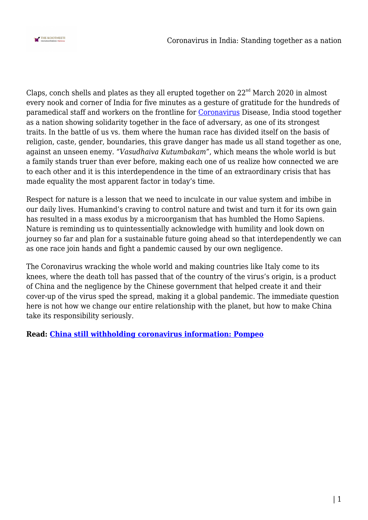

Claps, conch shells and plates as they all erupted together on  $22<sup>nd</sup>$  March 2020 in almost every nook and corner of India for five minutes as a gesture of gratitude for the hundreds of paramedical staff and workers on the frontline for [Coronavirus](http://thekootneeti.in/glossary/covid-19/) Disease, India stood together as a nation showing solidarity together in the face of adversary, as one of its strongest traits. In the battle of us vs. them where the human race has divided itself on the basis of religion, caste, gender, boundaries, this grave danger has made us all stand together as one, against an unseen enemy. *"Vasudhaiva Kutumbakam"*, which means the whole world is but a family stands truer than ever before, making each one of us realize how connected we are to each other and it is this interdependence in the time of an extraordinary crisis that has made equality the most apparent factor in today's time.

Respect for nature is a lesson that we need to inculcate in our value system and imbibe in our daily lives. Humankind's craving to control nature and twist and turn it for its own gain has resulted in a mass exodus by a microorganism that has humbled the Homo Sapiens. Nature is reminding us to quintessentially acknowledge with humility and look down on journey so far and plan for a sustainable future going ahead so that interdependently we can as one race join hands and fight a pandemic caused by our own negligence.

The Coronavirus wracking the whole world and making countries like Italy come to its knees, where the death toll has passed that of the country of the virus's origin, is a product of China and the negligence by the Chinese government that helped create it and their cover-up of the virus sped the spread, making it a global pandemic. The immediate question here is not how we change our entire relationship with the planet, but how to make China take its responsibility seriously.

**Read: [China still withholding coronavirus information: Pompeo](https://thekootneeti.in/2020/03/25/pompeo-says-china-still-withholding-coronavirus-information/)**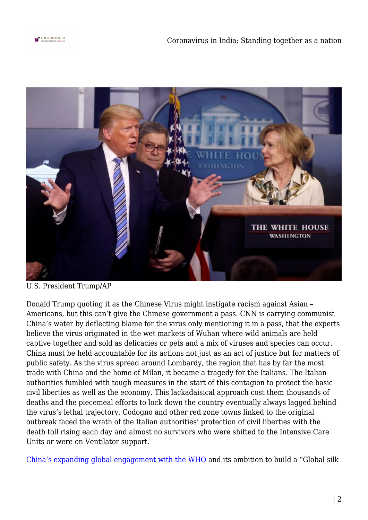



U.S. President Trump/AP

Donald Trump quoting it as the Chinese Virus might instigate racism against Asian – Americans, but this can't give the Chinese government a pass. CNN is carrying communist China's water by deflecting blame for the virus only mentioning it in a pass, that the experts believe the virus originated in the wet markets of Wuhan where wild animals are held captive together and sold as delicacies or pets and a mix of viruses and species can occur. China must be held accountable for its actions not just as an act of justice but for matters of public safety. As the virus spread around Lombardy, the region that has by far the most trade with China and the home of Milan, it became a tragedy for the Italians. The Italian authorities fumbled with tough measures in the start of this contagion to protect the basic civil liberties as well as the economy. This lackadaisical approach cost them thousands of deaths and the piecemeal efforts to lock down the country eventually always lagged behind the virus's lethal trajectory. Codogno and other red zone towns linked to the original outbreak faced the wrath of the Italian authorities' protection of civil liberties with the death toll rising each day and almost no survivors who were shifted to the Intensive Care Units or were on Ventilator support.

[China's expanding global engagement with the WHO](https://thekootneeti.in/2020/03/26/covid19-manufactured-cruelty-china-who/) and its ambition to build a "Global silk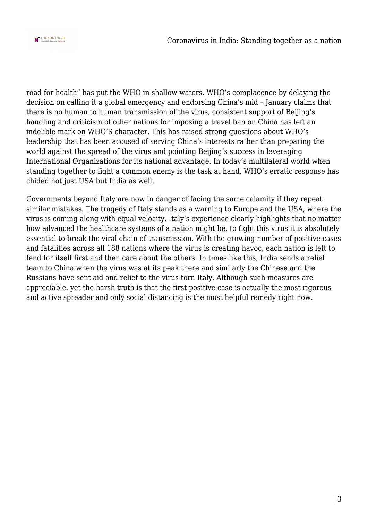

road for health" has put the WHO in shallow waters. WHO's complacence by delaying the decision on calling it a global emergency and endorsing China's mid – January claims that there is no human to human transmission of the virus, consistent support of Beijing's handling and criticism of other nations for imposing a travel ban on China has left an indelible mark on WHO'S character. This has raised strong questions about WHO's leadership that has been accused of serving China's interests rather than preparing the world against the spread of the virus and pointing Beijing's success in leveraging International Organizations for its national advantage. In today's multilateral world when standing together to fight a common enemy is the task at hand, WHO's erratic response has chided not just USA but India as well.

Governments beyond Italy are now in danger of facing the same calamity if they repeat similar mistakes. The tragedy of Italy stands as a warning to Europe and the USA, where the virus is coming along with equal velocity. Italy's experience clearly highlights that no matter how advanced the healthcare systems of a nation might be, to fight this virus it is absolutely essential to break the viral chain of transmission. With the growing number of positive cases and fatalities across all 188 nations where the virus is creating havoc, each nation is left to fend for itself first and then care about the others. In times like this, India sends a relief team to China when the virus was at its peak there and similarly the Chinese and the Russians have sent aid and relief to the virus torn Italy. Although such measures are appreciable, yet the harsh truth is that the first positive case is actually the most rigorous and active spreader and only social distancing is the most helpful remedy right now.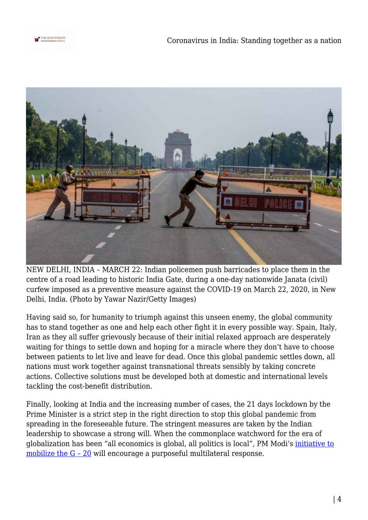



NEW DELHI, INDIA – MARCH 22: Indian policemen push barricades to place them in the centre of a road leading to historic India Gate, during a one-day nationwide Janata (civil) curfew imposed as a preventive measure against the COVID-19 on March 22, 2020, in New Delhi, India. (Photo by Yawar Nazir/Getty Images)

Having said so, for humanity to triumph against this unseen enemy, the global community has to stand together as one and help each other fight it in every possible way. Spain, Italy, Iran as they all suffer grievously because of their initial relaxed approach are desperately waiting for things to settle down and hoping for a miracle where they don't have to choose between patients to let live and leave for dead. Once this global pandemic settles down, all nations must work together against transnational threats sensibly by taking concrete actions. Collective solutions must be developed both at domestic and international levels tackling the cost-benefit distribution.

Finally, looking at India and the increasing number of cases, the 21 days lockdown by the Prime Minister is a strict step in the right direction to stop this global pandemic from spreading in the foreseeable future. The stringent measures are taken by the Indian leadership to showcase a strong will. When the commonplace watchword for the era of globalization has been "all economics is global, all politics is local", PM Modi's [initiative to](https://thekootneeti.in/2020/03/26/whatever-it-takes-g20-leaders-vow-to-combat-covid19/) [mobilize the G – 20](https://thekootneeti.in/2020/03/26/whatever-it-takes-g20-leaders-vow-to-combat-covid19/) will encourage a purposeful multilateral response.